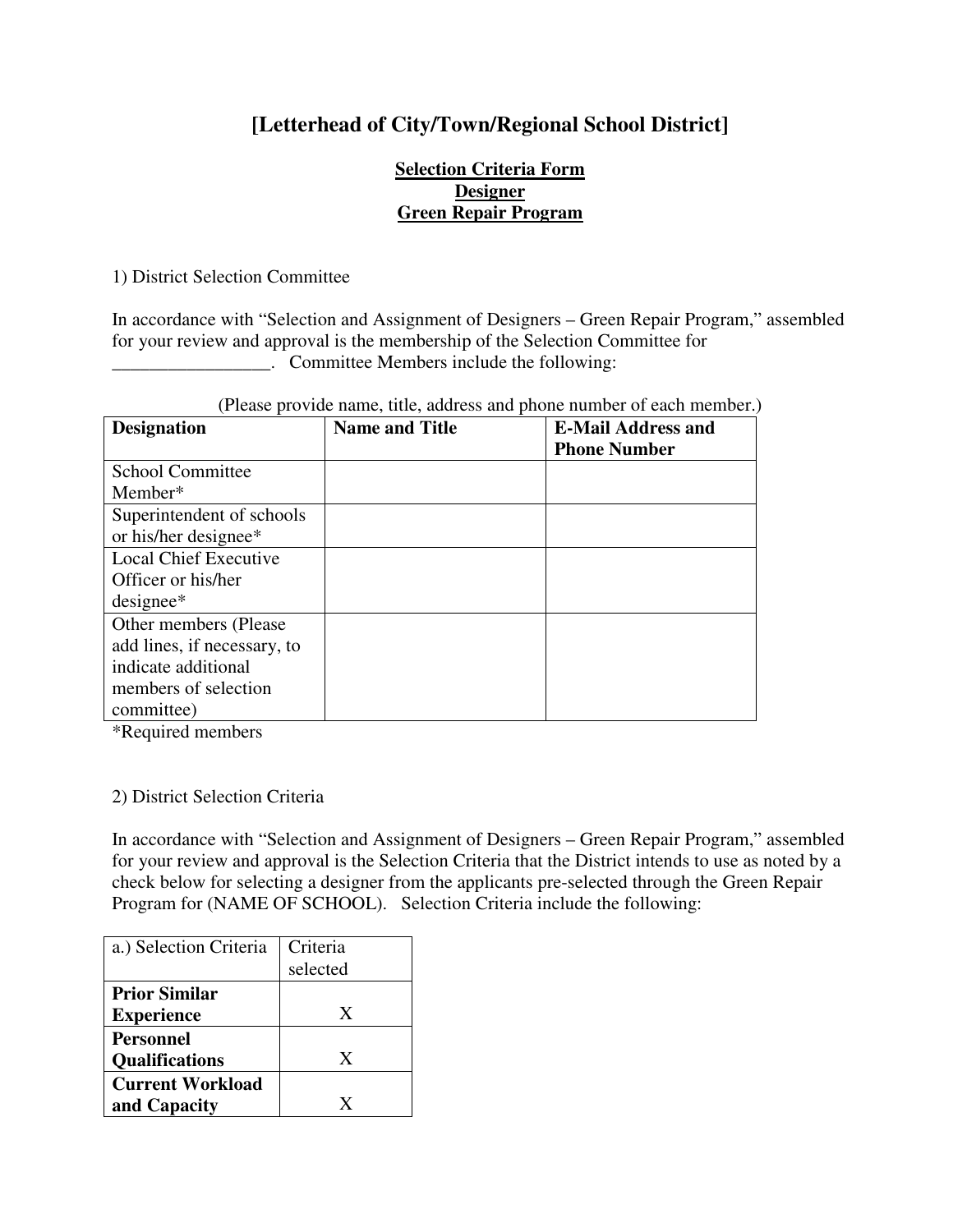## **[Letterhead of City/Town/Regional School District]**

## **Selection Criteria Form Designer Green Repair Program**

1) District Selection Committee

In accordance with "Selection and Assignment of Designers – Green Repair Program," assembled for your review and approval is the membership of the Selection Committee for **EXECUTE:** Committee Members include the following:

| <b>Designation</b>           | <b>Name and Title</b> | <b>E-Mail Address and</b> |
|------------------------------|-----------------------|---------------------------|
|                              |                       | <b>Phone Number</b>       |
| <b>School Committee</b>      |                       |                           |
| Member*                      |                       |                           |
| Superintendent of schools    |                       |                           |
| or his/her designee*         |                       |                           |
| <b>Local Chief Executive</b> |                       |                           |
| Officer or his/her           |                       |                           |
| $designee*$                  |                       |                           |
| Other members (Please)       |                       |                           |
| add lines, if necessary, to  |                       |                           |
| indicate additional          |                       |                           |
| members of selection         |                       |                           |
| committee)                   |                       |                           |

\*Required members

## 2) District Selection Criteria

In accordance with "Selection and Assignment of Designers – Green Repair Program," assembled for your review and approval is the Selection Criteria that the District intends to use as noted by a check below for selecting a designer from the applicants pre-selected through the Green Repair Program for (NAME OF SCHOOL). Selection Criteria include the following:

| a.) Selection Criteria                    | Criteria<br>selected |
|-------------------------------------------|----------------------|
| <b>Prior Similar</b><br><b>Experience</b> | X                    |
| <b>Personnel</b><br><b>Qualifications</b> | X                    |
| <b>Current Workload</b><br>and Capacity   | X                    |